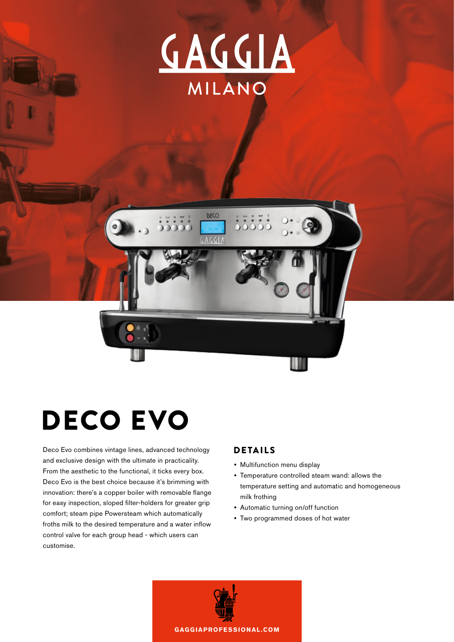



## DECO EVO

Deco Evo combines vintage lines, advanced technology DETAILS and exclusive design with the ultimate in practicality. From the aesthetic to the functional, it ticks every box. Deco Evo is the best choice because it's brimming with innovation: there's a copper boiler with removable flange for easy inspection, sloped filter-holders for greater grip comfort; steam pipe Powersteam which automatically froths milk to the desired temperature and a water inflow control valve for each group head - which users can customise.

- **•**  Multifunction menu display
- **•**  Temperature controlled steam wand: allows the temperature setting and automatic and homogeneous milk frothing
- **•**  Automatic turning on/off function
- **•**  Two programmed doses of hot water